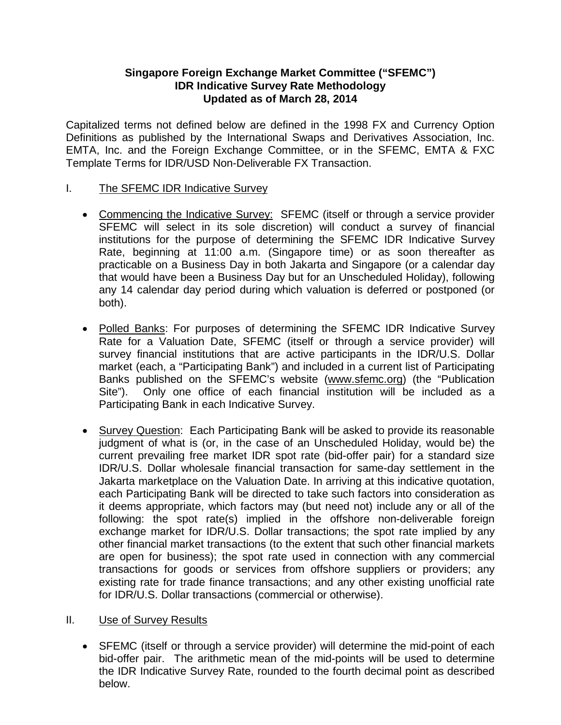# **Singapore Foreign Exchange Market Committee ("SFEMC") IDR Indicative Survey Rate Methodology Updated as of March 28, 2014**

Capitalized terms not defined below are defined in the 1998 FX and Currency Option Definitions as published by the International Swaps and Derivatives Association, Inc. EMTA, Inc. and the Foreign Exchange Committee, or in the SFEMC, EMTA & FXC Template Terms for IDR/USD Non-Deliverable FX Transaction.

### I. The SFEMC IDR Indicative Survey

- Commencing the Indicative Survey: SFEMC (itself or through a service provider SFEMC will select in its sole discretion) will conduct a survey of financial institutions for the purpose of determining the SFEMC IDR Indicative Survey Rate, beginning at 11:00 a.m. (Singapore time) or as soon thereafter as practicable on a Business Day in both Jakarta and Singapore (or a calendar day that would have been a Business Day but for an Unscheduled Holiday), following any 14 calendar day period during which valuation is deferred or postponed (or both).
- Polled Banks: For purposes of determining the SFEMC IDR Indicative Survey Rate for a Valuation Date, SFEMC (itself or through a service provider) will survey financial institutions that are active participants in the IDR/U.S. Dollar market (each, a "Participating Bank") and included in a current list of Participating Banks published on the SFEMC's website [\(www.sfemc.org\)](http://www.sfemc.org/) (the "Publication Site"). Only one office of each financial institution will be included as a Participating Bank in each Indicative Survey.
- Survey Question: Each Participating Bank will be asked to provide its reasonable judgment of what is (or, in the case of an Unscheduled Holiday, would be) the current prevailing free market IDR spot rate (bid-offer pair) for a standard size IDR/U.S. Dollar wholesale financial transaction for same-day settlement in the Jakarta marketplace on the Valuation Date. In arriving at this indicative quotation, each Participating Bank will be directed to take such factors into consideration as it deems appropriate, which factors may (but need not) include any or all of the following: the spot rate(s) implied in the offshore non-deliverable foreign exchange market for IDR/U.S. Dollar transactions; the spot rate implied by any other financial market transactions (to the extent that such other financial markets are open for business); the spot rate used in connection with any commercial transactions for goods or services from offshore suppliers or providers; any existing rate for trade finance transactions; and any other existing unofficial rate for IDR/U.S. Dollar transactions (commercial or otherwise).

### II. Use of Survey Results

• SFEMC (itself or through a service provider) will determine the mid-point of each bid-offer pair. The arithmetic mean of the mid-points will be used to determine the IDR Indicative Survey Rate, rounded to the fourth decimal point as described below.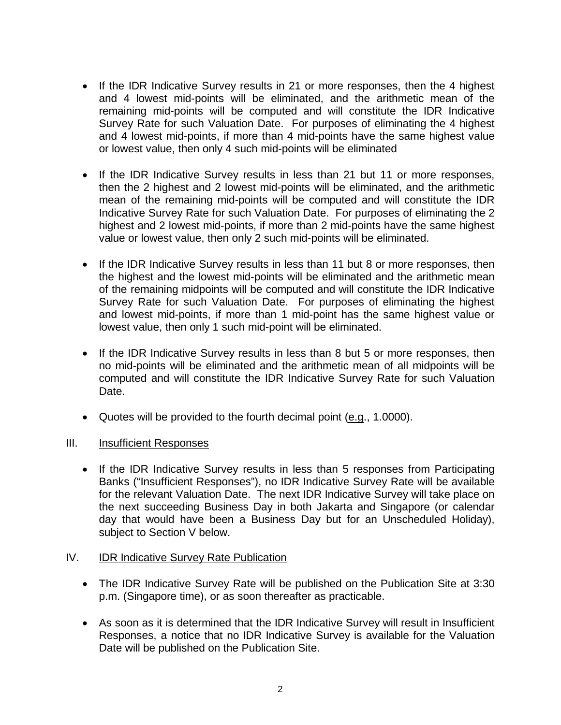- If the IDR Indicative Survey results in 21 or more responses, then the 4 highest and 4 lowest mid-points will be eliminated, and the arithmetic mean of the remaining mid-points will be computed and will constitute the IDR Indicative Survey Rate for such Valuation Date. For purposes of eliminating the 4 highest and 4 lowest mid-points, if more than 4 mid-points have the same highest value or lowest value, then only 4 such mid-points will be eliminated
- If the IDR Indicative Survey results in less than 21 but 11 or more responses, then the 2 highest and 2 lowest mid-points will be eliminated, and the arithmetic mean of the remaining mid-points will be computed and will constitute the IDR Indicative Survey Rate for such Valuation Date. For purposes of eliminating the 2 highest and 2 lowest mid-points, if more than 2 mid-points have the same highest value or lowest value, then only 2 such mid-points will be eliminated.
- If the IDR Indicative Survey results in less than 11 but 8 or more responses, then the highest and the lowest mid-points will be eliminated and the arithmetic mean of the remaining midpoints will be computed and will constitute the IDR Indicative Survey Rate for such Valuation Date. For purposes of eliminating the highest and lowest mid-points, if more than 1 mid-point has the same highest value or lowest value, then only 1 such mid-point will be eliminated.
- If the IDR Indicative Survey results in less than 8 but 5 or more responses, then no mid-points will be eliminated and the arithmetic mean of all midpoints will be computed and will constitute the IDR Indicative Survey Rate for such Valuation Date.
- Quotes will be provided to the fourth decimal point  $(e.g., 1.0000)$ .

### III. Insufficient Responses

• If the IDR Indicative Survey results in less than 5 responses from Participating Banks ("Insufficient Responses"), no IDR Indicative Survey Rate will be available for the relevant Valuation Date. The next IDR Indicative Survey will take place on the next succeeding Business Day in both Jakarta and Singapore (or calendar day that would have been a Business Day but for an Unscheduled Holiday), subject to Section V below.

### IV. **IDR Indicative Survey Rate Publication**

- The IDR Indicative Survey Rate will be published on the Publication Site at 3:30 p.m. (Singapore time), or as soon thereafter as practicable.
- As soon as it is determined that the IDR Indicative Survey will result in Insufficient Responses, a notice that no IDR Indicative Survey is available for the Valuation Date will be published on the Publication Site.